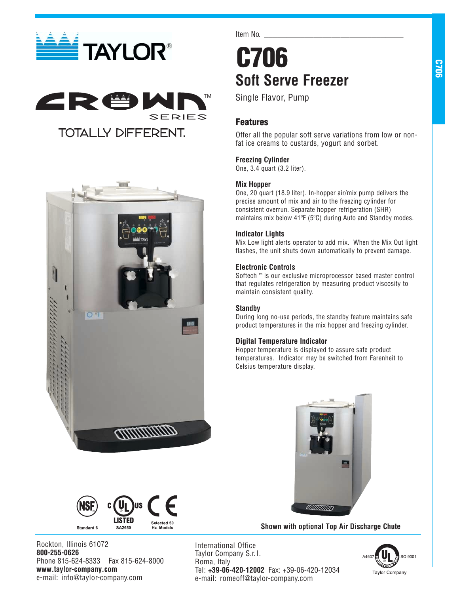





Item No.

# **C706 Soft Serve Freezer**

Single Flavor, Pump

## **Features**

Offer all the popular soft serve variations from low or nonfat ice creams to custards, yogurt and sorbet.

## **Freezing Cylinder**

One, 3.4 quart (3.2 liter).

## **Mix Hopper**

One, 20 quart (18.9 liter). In-hopper air/mix pump delivers the precise amount of mix and air to the freezing cylinder for consistent overrun. Separate hopper refrigeration (SHR) maintains mix below 41ºF (5ºC) during Auto and Standby modes.

## **Indicator Lights**

Mix Low light alerts operator to add mix. When the Mix Out light flashes, the unit shuts down automatically to prevent damage.

## **Electronic Controls**

Softech<sup>tm</sup> is our exclusive microprocessor based master control that regulates refrigeration by measuring product viscosity to maintain consistent quality.

## **Standby**

During long no-use periods, the standby feature maintains safe product temperatures in the mix hopper and freezing cylinder.

### **Digital Temperature Indicator**

Hopper temperature is displayed to assure safe product temperatures. Indicator may be switched from Farenheit to Celsius temperature display.



**Shown with optional Top Air Discharge Chute**



Rockton, Illinois 61072 **800-255-0626** Phone 815-624-8333 Fax 815-624-8000 **www.taylor-company.com** e-mail: info@taylor-company.com

International Office Taylor Company S.r.l. Roma, Italy Tel: **+39-06-420-12002** Fax: +39-06-420-12034 e-mail: romeoff@taylor-company.com